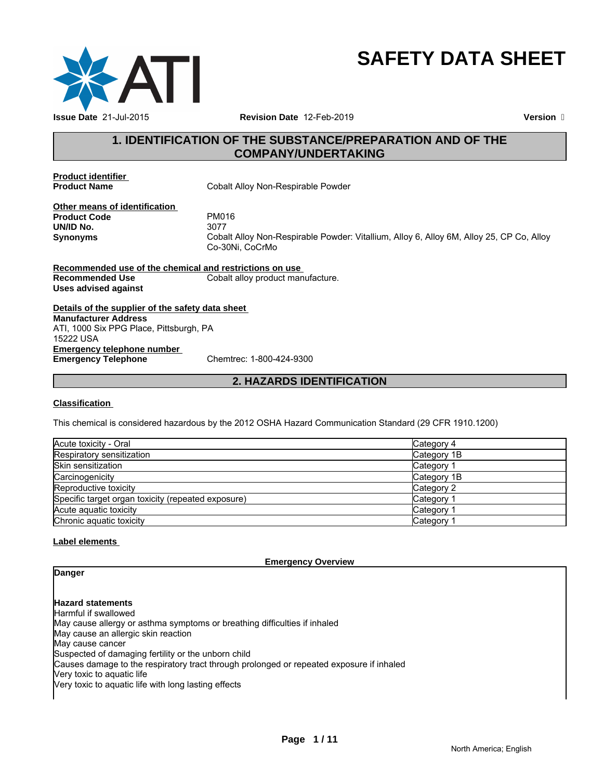

# **SAFETY DATA SHEET**

# **1. IDENTIFICATION OF THE SUBSTANCE/PREPARATION AND OF THE COMPANY/UNDERTAKING**

**Product identifier** 

**Cobalt Alloy Non-Respirable Powder** 

**Other means of identification**<br>**Product Code** PM016 **Product Code** PM0<sup>2</sup><br> **PM016**<br> **PM016 UN/ID No.**<br>Synonyms

**Synonyms** Cobalt Alloy Non-Respirable Powder: Vitallium, Alloy 6, Alloy 6M, Alloy 25, CP Co, Alloy Co-30Ni, CoCrMo

**Recommended use of the chemical and restrictions on use Recommended Use Cobalt alloy product manufacture. Uses advised against**

**Details of the supplier of the safety data sheet Emergency telephone number<br>
Emergency Telephone**<br>
Chemtrec: 1-800-424-9300 **Emergency Telephone Manufacturer Address** ATI, 1000 Six PPG Place, Pittsburgh, PA 15222 USA

# **2. HAZARDS IDENTIFICATION**

#### **Classification**

This chemical is considered hazardous by the 2012 OSHA Hazard Communication Standard (29 CFR 1910.1200)

| Acute toxicity - Oral                              | Category 4  |
|----------------------------------------------------|-------------|
| Respiratory sensitization                          | Category 1B |
| <b>Skin sensitization</b>                          | Category    |
| Carcinogenicity                                    | Category 1B |
| Reproductive toxicity                              | Category 2  |
| Specific target organ toxicity (repeated exposure) | Category    |
| Acute aguatic toxicity                             | Category    |
| Chronic aguatic toxicity                           | Category    |

# **Label elements**

**Emergency Overview**

# **Danger**

**Hazard statements**

Harmful if swallowed May cause allergy or asthma symptoms or breathing difficulties if inhaled May cause an allergic skin reaction May cause cancer Suspected of damaging fertility or the unborn child Causes damage to the respiratory tract through prolonged or repeated exposure if inhaled Very toxic to aquatic life Very toxic to aquatic life with long lasting effects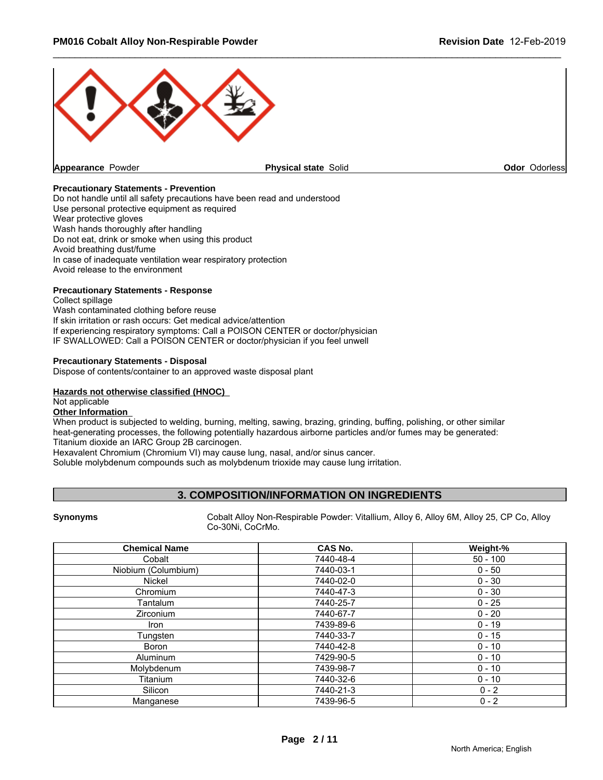

#### **Precautionary Statements - Prevention**

Do not handle until all safety precautions have been read and understood Use personal protective equipment as required Wear protective gloves Wash hands thoroughly after handling Do not eat, drink or smoke when using this product Avoid breathing dust/fume In case of inadequate ventilation wear respiratory protection Avoid release to the environment

#### **Precautionary Statements - Response**

Collect spillage Wash contaminated clothing before reuse If skin irritation or rash occurs: Get medical advice/attention If experiencing respiratory symptoms: Call a POISON CENTER or doctor/physician IF SWALLOWED: Call a POISON CENTER or doctor/physician if you feel unwell

#### **Precautionary Statements - Disposal**

Dispose of contents/container to an approved waste disposal plant

#### **Hazards not otherwise classified (HNOC)**

# Not applicable

**Other Information** 

When product is subjected to welding, burning, melting, sawing, brazing, grinding, buffing, polishing, or other similar heat-generating processes, the following potentially hazardous airborne particles and/or fumes may be generated: Titanium dioxide an IARC Group 2B carcinogen.

Hexavalent Chromium (Chromium VI) may cause lung, nasal, and/or sinus cancer.

Soluble molybdenum compounds such as molybdenum trioxide may cause lung irritation.

# **3. COMPOSITION/INFORMATION ON INGREDIENTS**

**Synonyms** Cobalt Alloy Non-Respirable Powder: Vitallium, Alloy 6, Alloy 6M, Alloy 25, CP Co, Alloy Co-30Ni, CoCrMo.

| <b>Chemical Name</b> | <b>CAS No.</b> | Weight-%   |
|----------------------|----------------|------------|
| Cobalt               | 7440-48-4      | $50 - 100$ |
| Niobium (Columbium)  | 7440-03-1      | $0 - 50$   |
| Nickel               | 7440-02-0      | $0 - 30$   |
| Chromium             | 7440-47-3      | $0 - 30$   |
| Tantalum             | 7440-25-7      | $0 - 25$   |
| Zirconium            | 7440-67-7      | $0 - 20$   |
| lron                 | 7439-89-6      | $0 - 19$   |
| Tungsten             | 7440-33-7      | $0 - 15$   |
| <b>Boron</b>         | 7440-42-8      | $0 - 10$   |
| Aluminum             | 7429-90-5      | $0 - 10$   |
| Molybdenum           | 7439-98-7      | $0 - 10$   |
| Titanium             | 7440-32-6      | $0 - 10$   |
| Silicon              | 7440-21-3      | $0 - 2$    |
| Manganese            | 7439-96-5      | $0 - 2$    |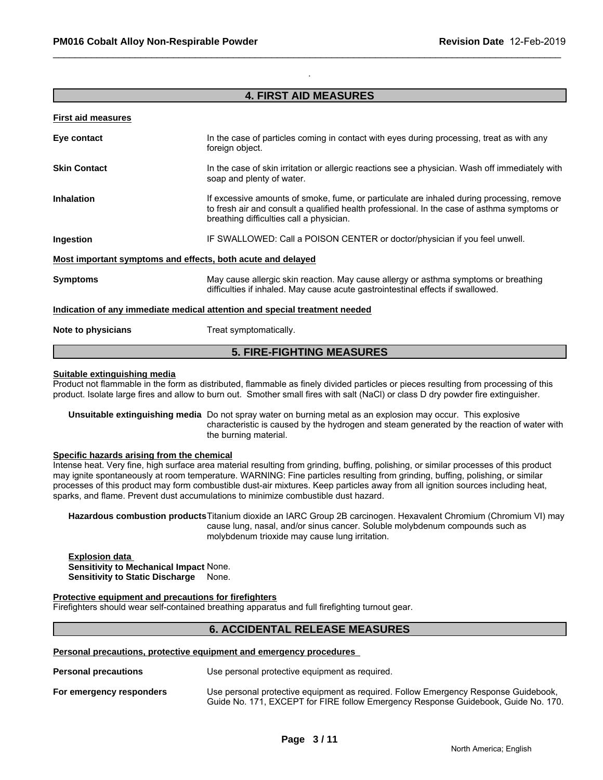# **4. FIRST AID MEASURES**

.

#### **First aid measures**

|                     | <b>5. FIRE-FIGHTING MEASURES</b>                                                                                                                                                                                                     |
|---------------------|--------------------------------------------------------------------------------------------------------------------------------------------------------------------------------------------------------------------------------------|
| Note to physicians  | Treat symptomatically.                                                                                                                                                                                                               |
|                     | Indication of any immediate medical attention and special treatment needed                                                                                                                                                           |
| <b>Symptoms</b>     | May cause allergic skin reaction. May cause allergy or asthma symptoms or breathing<br>difficulties if inhaled. May cause acute gastrointestinal effects if swallowed.                                                               |
|                     | Most important symptoms and effects, both acute and delayed                                                                                                                                                                          |
| Ingestion           | IF SWALLOWED: Call a POISON CENTER or doctor/physician if you feel unwell.                                                                                                                                                           |
| <b>Inhalation</b>   | If excessive amounts of smoke, fume, or particulate are inhaled during processing, remove<br>to fresh air and consult a qualified health professional. In the case of asthma symptoms or<br>breathing difficulties call a physician. |
| <b>Skin Contact</b> | In the case of skin irritation or allergic reactions see a physician. Wash off immediately with<br>soap and plenty of water.                                                                                                         |
| Eye contact         | In the case of particles coming in contact with eyes during processing, treat as with any<br>foreign object.                                                                                                                         |
|                     |                                                                                                                                                                                                                                      |

#### **Suitable extinguishing media**

Product not flammable in the form as distributed, flammable as finely divided particles or pieces resulting from processing of this product. Isolate large fires and allow to burn out. Smother small fires with salt (NaCl) or class D dry powder fire extinguisher.

**Unsuitable extinguishing media** Do not spray water on burning metal as an explosion may occur. This explosive characteristic is caused by the hydrogen and steam generated by the reaction of water with the burning material.

#### **Specific hazards arising from the chemical**

Intense heat. Very fine, high surface area material resulting from grinding, buffing, polishing, or similar processes of this product may ignite spontaneously at room temperature. WARNING: Fine particles resulting from grinding, buffing, polishing, or similar processes of this product may form combustible dust-air mixtures. Keep particles away from all ignition sources including heat, sparks, and flame. Prevent dust accumulations to minimize combustible dust hazard.

**Hazardous combustion products**Titanium dioxide an IARC Group 2B carcinogen. Hexavalent Chromium (Chromium VI) may cause lung, nasal, and/or sinus cancer. Soluble molybdenum compounds such as molybdenum trioxide may cause lung irritation.

#### **Explosion data Sensitivity to Mechanical Impact** None. **Sensitivity to Static Discharge** None.

#### **Protective equipment and precautions for firefighters**

Firefighters should wear self-contained breathing apparatus and full firefighting turnout gear.

## **6. ACCIDENTAL RELEASE MEASURES**

#### **Personal precautions, protective equipment and emergency procedures**

**Personal precautions** Use personal protective equipment as required.

**For emergency responders** Use personal protective equipment as required. Follow Emergency Response Guidebook, Guide No. 171, EXCEPT for FIRE follow Emergency Response Guidebook, Guide No. 170.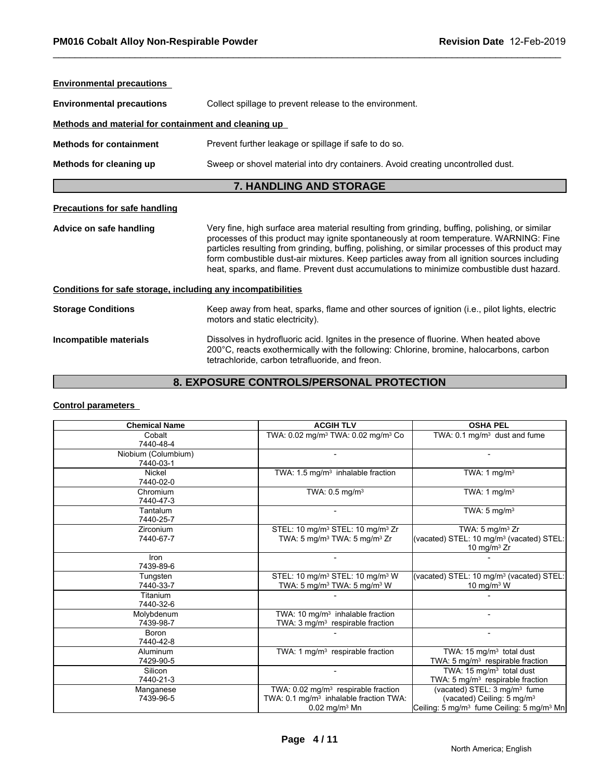| <b>Environmental precautions</b>                             |                                                                                                                                                                                                                                                                                                                                                                                                                                                                                      |  |  |  |  |  |
|--------------------------------------------------------------|--------------------------------------------------------------------------------------------------------------------------------------------------------------------------------------------------------------------------------------------------------------------------------------------------------------------------------------------------------------------------------------------------------------------------------------------------------------------------------------|--|--|--|--|--|
| <b>Environmental precautions</b>                             | Collect spillage to prevent release to the environment.                                                                                                                                                                                                                                                                                                                                                                                                                              |  |  |  |  |  |
| Methods and material for containment and cleaning up         |                                                                                                                                                                                                                                                                                                                                                                                                                                                                                      |  |  |  |  |  |
| <b>Methods for containment</b>                               | Prevent further leakage or spillage if safe to do so.                                                                                                                                                                                                                                                                                                                                                                                                                                |  |  |  |  |  |
| Methods for cleaning up                                      | Sweep or shovel material into dry containers. Avoid creating uncontrolled dust.                                                                                                                                                                                                                                                                                                                                                                                                      |  |  |  |  |  |
|                                                              | <b>7. HANDLING AND STORAGE</b>                                                                                                                                                                                                                                                                                                                                                                                                                                                       |  |  |  |  |  |
| <b>Precautions for safe handling</b>                         |                                                                                                                                                                                                                                                                                                                                                                                                                                                                                      |  |  |  |  |  |
| Advice on safe handling                                      | Very fine, high surface area material resulting from grinding, buffing, polishing, or similar<br>processes of this product may ignite spontaneously at room temperature. WARNING: Fine<br>particles resulting from grinding, buffing, polishing, or similar processes of this product may<br>form combustible dust-air mixtures. Keep particles away from all ignition sources including<br>heat, sparks, and flame. Prevent dust accumulations to minimize combustible dust hazard. |  |  |  |  |  |
|                                                              |                                                                                                                                                                                                                                                                                                                                                                                                                                                                                      |  |  |  |  |  |
| Conditions for safe storage, including any incompatibilities |                                                                                                                                                                                                                                                                                                                                                                                                                                                                                      |  |  |  |  |  |
| <b>Storage Conditions</b>                                    | Keep away from heat, sparks, flame and other sources of ignition (i.e., pilot lights, electric<br>motors and static electricity).                                                                                                                                                                                                                                                                                                                                                    |  |  |  |  |  |

# **8. EXPOSURE CONTROLS/PERSONAL PROTECTION**

## **Control parameters**

| motors and static electricity).          |                                                                                                                                                                                                                                      |                                                                                                                                                         |  |  |  |  |
|------------------------------------------|--------------------------------------------------------------------------------------------------------------------------------------------------------------------------------------------------------------------------------------|---------------------------------------------------------------------------------------------------------------------------------------------------------|--|--|--|--|
| Incompatible materials                   | Dissolves in hydrofluoric acid. Ignites in the presence of fluorine. When heated above<br>200°C, reacts exothermically with the following: Chlorine, bromine, halocarbons, carbon<br>tetrachloride, carbon tetrafluoride, and freon. |                                                                                                                                                         |  |  |  |  |
| 8. EXPOSURE CONTROLS/PERSONAL PROTECTION |                                                                                                                                                                                                                                      |                                                                                                                                                         |  |  |  |  |
| <b>Control parameters</b>                |                                                                                                                                                                                                                                      |                                                                                                                                                         |  |  |  |  |
| <b>Chemical Name</b>                     | <b>ACGIH TLV</b>                                                                                                                                                                                                                     | <b>OSHA PEL</b>                                                                                                                                         |  |  |  |  |
| Cobalt<br>7440-48-4                      | TWA: 0.02 mg/m <sup>3</sup> TWA: 0.02 mg/m <sup>3</sup> Co                                                                                                                                                                           | TWA: 0.1 mg/m <sup>3</sup> dust and fume                                                                                                                |  |  |  |  |
| Niobium (Columbium)<br>7440-03-1         |                                                                                                                                                                                                                                      |                                                                                                                                                         |  |  |  |  |
| Nickel<br>7440-02-0                      | TWA: 1.5 mg/m <sup>3</sup> inhalable fraction                                                                                                                                                                                        | TWA: $1 \text{ mg/m}^3$                                                                                                                                 |  |  |  |  |
| Chromium<br>7440-47-3                    | TWA: 0.5 mg/m <sup>3</sup>                                                                                                                                                                                                           | TWA: 1 $mg/m3$                                                                                                                                          |  |  |  |  |
| Tantalum<br>7440-25-7                    |                                                                                                                                                                                                                                      | TWA: $5 \text{ mg/m}^3$                                                                                                                                 |  |  |  |  |
| Zirconium<br>7440-67-7                   | STEL: 10 mg/m <sup>3</sup> STEL: 10 mg/m <sup>3</sup> Zr<br>TWA: 5 mg/m <sup>3</sup> TWA: 5 mg/m <sup>3</sup> Zr                                                                                                                     | TWA: $5 \text{ mg/m}^3$ Zr<br>(vacated) STEL: 10 mg/m <sup>3</sup> (vacated) STEL:<br>10 mg/m $3$ Zr                                                    |  |  |  |  |
| Iron<br>7439-89-6                        |                                                                                                                                                                                                                                      |                                                                                                                                                         |  |  |  |  |
| Tungsten<br>7440-33-7                    | STEL: 10 mg/m <sup>3</sup> STEL: 10 mg/m <sup>3</sup> W<br>TWA: 5 mg/m <sup>3</sup> TWA: 5 mg/m <sup>3</sup> W                                                                                                                       | (vacated) STEL: 10 mg/m <sup>3</sup> (vacated) STEL:<br>10 mg/m $3$ W                                                                                   |  |  |  |  |
| Titanium<br>7440-32-6                    |                                                                                                                                                                                                                                      |                                                                                                                                                         |  |  |  |  |
| Molybdenum<br>7439-98-7                  | TWA: 10 mg/m <sup>3</sup> inhalable fraction<br>TWA: 3 mg/m <sup>3</sup> respirable fraction                                                                                                                                         |                                                                                                                                                         |  |  |  |  |
| <b>Boron</b><br>7440-42-8                |                                                                                                                                                                                                                                      | $\overline{a}$                                                                                                                                          |  |  |  |  |
| Aluminum<br>7429-90-5                    | TWA: 1 mg/m <sup>3</sup> respirable fraction                                                                                                                                                                                         | TWA: 15 mg/m <sup>3</sup> total dust<br>TWA: 5 mg/m <sup>3</sup> respirable fraction                                                                    |  |  |  |  |
| Silicon<br>7440-21-3                     |                                                                                                                                                                                                                                      | TWA: 15 mg/m <sup>3</sup> total dust<br>TWA: 5 mg/m <sup>3</sup> respirable fraction                                                                    |  |  |  |  |
| Manganese<br>7439-96-5                   | TWA: $0.02$ mg/m <sup>3</sup> respirable fraction<br>TWA: 0.1 mg/m <sup>3</sup> inhalable fraction TWA:<br>$0.02$ mg/m <sup>3</sup> Mn                                                                                               | (vacated) STEL: 3 mg/m <sup>3</sup> fume<br>(vacated) Ceiling: 5 mg/m <sup>3</sup><br>Ceiling: 5 mg/m <sup>3</sup> fume Ceiling: 5 mg/m <sup>3</sup> Mn |  |  |  |  |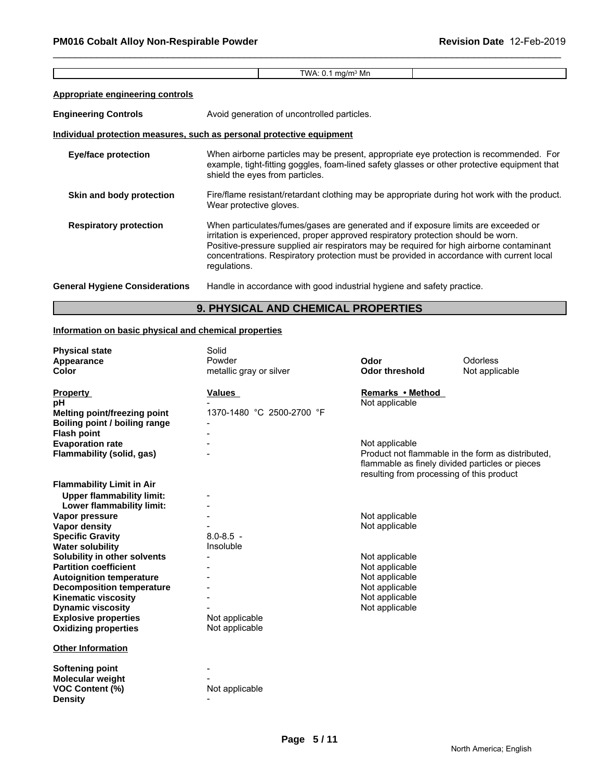|                                         | TWA: $0.1 \text{ mg/m}^3$ Mn                                                                                                                                                                                                                                                                                                                                                    |
|-----------------------------------------|---------------------------------------------------------------------------------------------------------------------------------------------------------------------------------------------------------------------------------------------------------------------------------------------------------------------------------------------------------------------------------|
| <b>Appropriate engineering controls</b> |                                                                                                                                                                                                                                                                                                                                                                                 |
| <b>Engineering Controls</b>             | Avoid generation of uncontrolled particles.                                                                                                                                                                                                                                                                                                                                     |
|                                         | <u>Individual protection measures, such as personal protective equipment</u>                                                                                                                                                                                                                                                                                                    |
| Eye/face protection                     | When airborne particles may be present, appropriate eye protection is recommended. For<br>example, tight-fitting goggles, foam-lined safety glasses or other protective equipment that<br>shield the eyes from particles.                                                                                                                                                       |
| Skin and body protection                | Fire/flame resistant/retardant clothing may be appropriate during hot work with the product.<br>Wear protective gloves.                                                                                                                                                                                                                                                         |
| <b>Respiratory protection</b>           | When particulates/fumes/gases are generated and if exposure limits are exceeded or<br>irritation is experienced, proper approved respiratory protection should be worn.<br>Positive-pressure supplied air respirators may be required for high airborne contaminant<br>concentrations. Respiratory protection must be provided in accordance with current local<br>regulations. |
| <b>General Hygiene Considerations</b>   | Handle in accordance with good industrial hygiene and safety practice.                                                                                                                                                                                                                                                                                                          |

# **9. PHYSICAL AND CHEMICAL PROPERTIES**

# **Information on basic physical and chemical properties**

| <b>Physical state</b>            | Solid                     |                                           |                                                   |
|----------------------------------|---------------------------|-------------------------------------------|---------------------------------------------------|
| Appearance                       | Powder                    | Odor                                      | Odorless                                          |
| Color                            | metallic gray or silver   | <b>Odor threshold</b>                     | Not applicable                                    |
|                                  |                           |                                           |                                                   |
| <b>Property</b>                  | <b>Values</b>             | Remarks • Method                          |                                                   |
| рH                               |                           | Not applicable                            |                                                   |
| Melting point/freezing point     | 1370-1480 °C 2500-2700 °F |                                           |                                                   |
| Boiling point / boiling range    |                           |                                           |                                                   |
| <b>Flash point</b>               |                           |                                           |                                                   |
| <b>Evaporation rate</b>          |                           | Not applicable                            |                                                   |
| Flammability (solid, gas)        |                           |                                           | Product not flammable in the form as distributed, |
|                                  |                           |                                           | flammable as finely divided particles or pieces   |
|                                  |                           | resulting from processing of this product |                                                   |
| <b>Flammability Limit in Air</b> |                           |                                           |                                                   |
| <b>Upper flammability limit:</b> |                           |                                           |                                                   |
| Lower flammability limit:        |                           |                                           |                                                   |
| Vapor pressure                   |                           | Not applicable                            |                                                   |
| <b>Vapor density</b>             |                           | Not applicable                            |                                                   |
| <b>Specific Gravity</b>          | $8.0 - 8.5$ -             |                                           |                                                   |
| <b>Water solubility</b>          | Insoluble                 |                                           |                                                   |
| Solubility in other solvents     |                           | Not applicable                            |                                                   |
| <b>Partition coefficient</b>     |                           | Not applicable                            |                                                   |
| <b>Autoignition temperature</b>  |                           | Not applicable                            |                                                   |
| <b>Decomposition temperature</b> |                           | Not applicable                            |                                                   |
| <b>Kinematic viscosity</b>       |                           | Not applicable                            |                                                   |
| <b>Dynamic viscosity</b>         |                           | Not applicable                            |                                                   |
| <b>Explosive properties</b>      | Not applicable            |                                           |                                                   |
| <b>Oxidizing properties</b>      | Not applicable            |                                           |                                                   |
| <b>Other Information</b>         |                           |                                           |                                                   |
| <b>Softening point</b>           |                           |                                           |                                                   |
| Molecular weight                 |                           |                                           |                                                   |
| <b>VOC Content (%)</b>           | Not applicable            |                                           |                                                   |
| <b>Density</b>                   |                           |                                           |                                                   |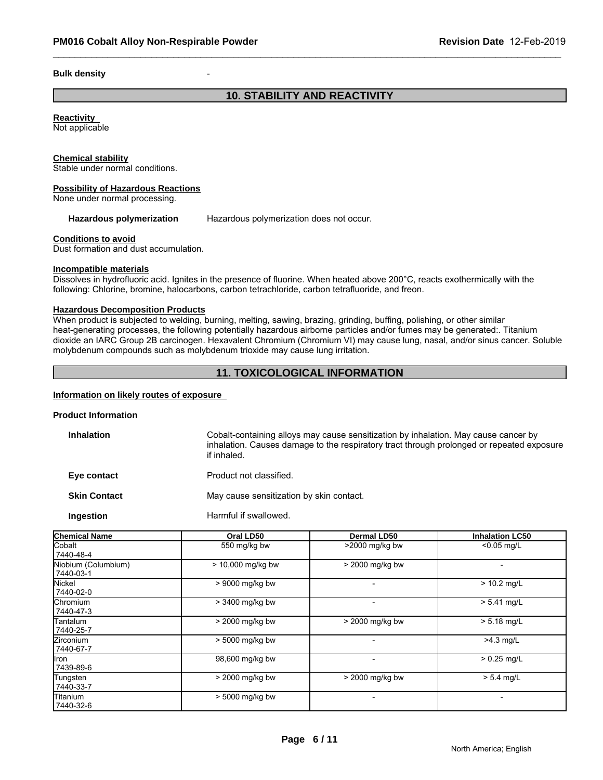#### **Bulk density**

# **10. STABILITY AND REACTIVITY**

# **Reactivity**

Not applicable

#### **Chemical stability**

Stable under normal conditions.

#### **Possibility of Hazardous Reactions**

None under normal processing.

#### Hazardous polymerization Hazardous polymerization does not occur.

#### **Conditions to avoid**

Dust formation and dust accumulation.

#### **Incompatible materials**

Dissolves in hydrofluoric acid. Ignites in the presence of fluorine. When heated above 200°C, reacts exothermically with the following: Chlorine, bromine, halocarbons, carbon tetrachloride, carbon tetrafluoride, and freon.

# **Hazardous Decomposition Products**

When product is subjected to welding, burning, melting, sawing, brazing, grinding, buffing, polishing, or other similar heat-generating processes, the following potentially hazardous airborne particles and/or fumes may be generated:. Titanium dioxide an IARC Group 2B carcinogen. Hexavalent Chromium (Chromium VI) may cause lung, nasal, and/or sinus cancer. Soluble molybdenum compounds such as molybdenum trioxide may cause lung irritation.

## **11. TOXICOLOGICAL INFORMATION**

#### **Information on likely routes of exposure**

#### **Product Information**

| <b>Inhalation</b>   | Cobalt-containing alloys may cause sensitization by inhalation. May cause cancer by<br>inhalation. Causes damage to the respiratory tract through prolonged or repeated exposure<br>if inhaled. |
|---------------------|-------------------------------------------------------------------------------------------------------------------------------------------------------------------------------------------------|
| Eye contact         | Product not classified.                                                                                                                                                                         |
| <b>Skin Contact</b> | May cause sensitization by skin contact.                                                                                                                                                        |
| Ingestion           | Harmful if swallowed.                                                                                                                                                                           |

| <b>Chemical Name</b>             | Oral LD50           | Dermal LD50              | <b>Inhalation LC50</b> |
|----------------------------------|---------------------|--------------------------|------------------------|
| Cobalt<br>7440-48-4              | 550 mg/kg bw        | >2000 mg/kg bw           | $< 0.05$ mg/L          |
| Niobium (Columbium)<br>7440-03-1 | $> 10,000$ mg/kg bw | > 2000 mg/kg bw          |                        |
| Nickel<br>7440-02-0              | > 9000 mg/kg bw     |                          | $> 10.2$ mg/L          |
| Chromium<br>7440-47-3            | > 3400 mg/kg bw     |                          | $> 5.41$ mg/L          |
| lTantalum.<br>7440-25-7          | > 2000 mg/kg bw     | > 2000 mg/kg bw          | $> 5.18$ mg/L          |
| <b>Zirconium</b><br>7440-67-7    | > 5000 mg/kg bw     | $\overline{\phantom{0}}$ | $>4.3$ mg/L            |
| llron<br>7439-89-6               | 98,600 mg/kg bw     |                          | $> 0.25$ mg/L          |
| Tungsten<br>7440-33-7            | > 2000 mg/kg bw     | $> 2000$ mg/kg bw        | $> 5.4$ mg/L           |
| Titanium<br>7440-32-6            | $> 5000$ mg/kg bw   |                          |                        |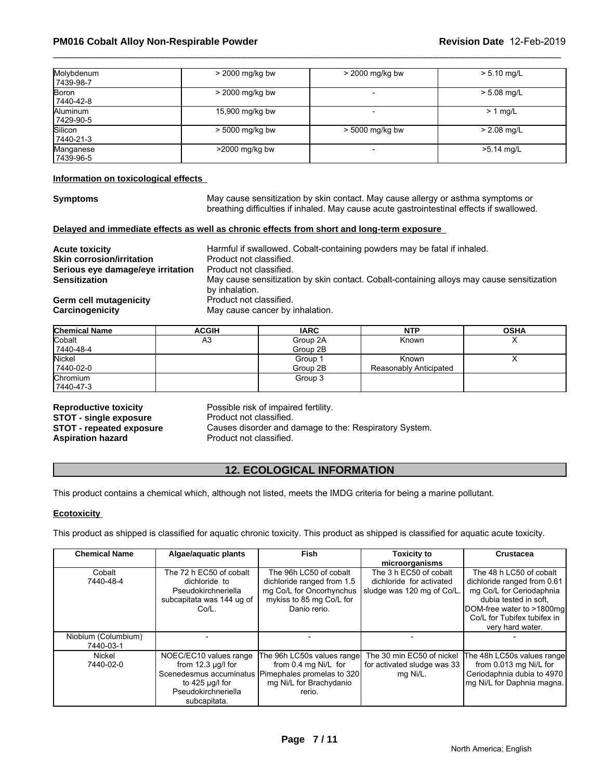| Molybdenum<br>  7439-98-7 | > 2000 mg/kg bw   | $>$ 2000 mg/kg bw | $> 5.10$ mg/L |
|---------------------------|-------------------|-------------------|---------------|
| Boron<br>7440-42-8        | > 2000 mg/kg bw   |                   | $> 5.08$ mg/L |
| Aluminum<br>7429-90-5     | 15,900 mg/kg bw   |                   | $> 1$ mg/L    |
| Silicon<br>7440-21-3      | $> 5000$ mg/kg bw | $> 5000$ mg/kg bw | $> 2.08$ mg/L |
| Manganese<br>  7439-96-5  | >2000 mg/kg bw    |                   | >5.14 mg/L    |

#### **Information on toxicological effects**

**Symptoms** May cause sensitization by skin contact. May cause allergy or asthma symptoms or breathing difficulties if inhaled. May cause acute gastrointestinal effects if swallowed.

#### **Delayed and immediate effects as well as chronic effects from short and long-term exposure**

| <b>Acute toxicity</b>             | Harmful if swallowed. Cobalt-containing powders may be fatal if inhaled.                  |
|-----------------------------------|-------------------------------------------------------------------------------------------|
| <b>Skin corrosion/irritation</b>  | Product not classified.                                                                   |
| Serious eye damage/eye irritation | Product not classified.                                                                   |
| <b>Sensitization</b>              | May cause sensitization by skin contact. Cobalt-containing alloys may cause sensitization |
|                                   | by inhalation.                                                                            |
| Germ cell mutagenicity            | Product not classified.                                                                   |
| Carcinogenicity                   | May cause cancer by inhalation.                                                           |

| <b>Chemical Name</b> | <b>ACGIH</b> | <b>IARC</b> | <b>NTP</b>             | <b>OSHA</b> |
|----------------------|--------------|-------------|------------------------|-------------|
| Cobalt               | A3           | Group 2A    | Known                  | ↗           |
| 7440-48-4            |              | Group 2B    |                        |             |
| Nickel               |              | Group 1     | Known                  | $\lambda$   |
| 7440-02-0            |              | Group 2B    | Reasonably Anticipated |             |
| Chromium             |              | Group 3     |                        |             |
| 7440-47-3            |              |             |                        |             |

**STOT - single exposure<br>STOT - repeated exposure** 

**Reproductive toxicity example 3 Reproductive toxicity** Possible risk of impaired fertility.<br>**STOT - single exposure** Product not classified. **STOT - repeated exposure** Causes disorder and damage to the: Respiratory System.<br>**Aspiration hazard** Product not classified. **Product not classified.** 

## **12. ECOLOGICAL INFORMATION**

#### **Ecotoxicity**

| <b>STOT Tepedica exposure</b><br><b>Aspiration hazard</b> | Product not classified.                                                                                                               | Causes alsolaer and damage to the ricophatory oystem.                                                                                             |                                                                                  |                                                                                                                                                                                             |
|-----------------------------------------------------------|---------------------------------------------------------------------------------------------------------------------------------------|---------------------------------------------------------------------------------------------------------------------------------------------------|----------------------------------------------------------------------------------|---------------------------------------------------------------------------------------------------------------------------------------------------------------------------------------------|
|                                                           |                                                                                                                                       | <b>12. ECOLOGICAL INFORMATION</b>                                                                                                                 |                                                                                  |                                                                                                                                                                                             |
|                                                           | This product contains a chemical which, although not listed, meets the IMDG criteria for being a marine pollutant.                    |                                                                                                                                                   |                                                                                  |                                                                                                                                                                                             |
| <b>Ecotoxicity</b>                                        |                                                                                                                                       |                                                                                                                                                   |                                                                                  |                                                                                                                                                                                             |
|                                                           | This product as shipped is classified for aquatic chronic toxicity. This product as shipped is classified for aquatic acute toxicity. |                                                                                                                                                   |                                                                                  |                                                                                                                                                                                             |
| <b>Chemical Name</b>                                      | Algae/aquatic plants                                                                                                                  | <b>Fish</b>                                                                                                                                       | <b>Toxicity to</b><br>microorganisms                                             | <b>Crustacea</b>                                                                                                                                                                            |
| Cobalt<br>7440-48-4                                       | The 72 h EC50 of cobalt<br>dichloride to<br>Pseudokirchneriella<br>subcapitata was 144 ug of<br>Co/L.                                 | The 96h LC50 of cobalt<br>dichloride ranged from 1.5<br>mg Co/L for Oncorhynchus<br>mykiss to 85 mg Co/L for<br>Danio rerio.                      | The 3 h EC50 of cobalt<br>dichloride for activated<br>sludge was 120 mg of Co/L. | The 48 h LC50 of cobalt<br>dichloride ranged from 0.61<br>mg Co/L for Ceriodaphnia<br>dubia tested in soft.<br>DOM-free water to >1800mg<br>Co/L for Tubifex tubifex in<br>very hard water. |
| Niobium (Columbium)<br>7440-03-1                          |                                                                                                                                       |                                                                                                                                                   |                                                                                  |                                                                                                                                                                                             |
| Nickel<br>7440-02-0                                       | NOEC/EC10 values range<br>from $12.3 \mu g/l$ for<br>to 425 $\mu$ g/l for<br>Pseudokirchneriella<br>subcapitata.                      | The 96h LC50s values range<br>from 0.4 mg Ni/L for<br>Scenedesmus accuminatus   Pimephales promelas to 320  <br>mg Ni/L for Brachydanio<br>rerio. | The 30 min EC50 of nickel<br>for activated sludge was 33<br>mg Ni/L.             | The 48h LC50s values range<br>from 0.013 mg Ni/L for<br>Ceriodaphnia dubia to 4970<br>mg Ni/L for Daphnia magna.                                                                            |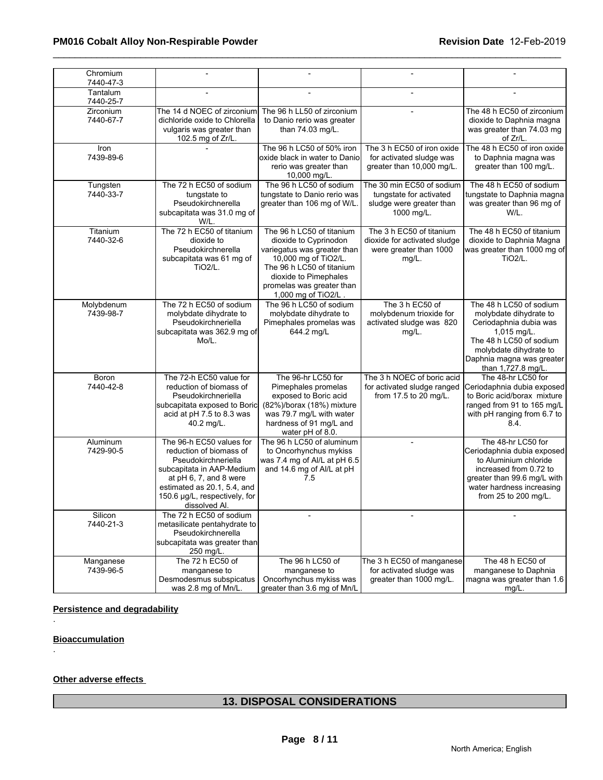| Chromium<br>7440-47-3     |                                                                                                                                                                                                                    |                                                                                                                                                                                                                     |                                                                                                |                                                                                                                                                                                                    |
|---------------------------|--------------------------------------------------------------------------------------------------------------------------------------------------------------------------------------------------------------------|---------------------------------------------------------------------------------------------------------------------------------------------------------------------------------------------------------------------|------------------------------------------------------------------------------------------------|----------------------------------------------------------------------------------------------------------------------------------------------------------------------------------------------------|
| Tantalum<br>7440-25-7     |                                                                                                                                                                                                                    |                                                                                                                                                                                                                     |                                                                                                |                                                                                                                                                                                                    |
| Zirconium<br>7440-67-7    | The 14 d NOEC of zirconium<br>dichloride oxide to Chlorella<br>vulgaris was greater than<br>102.5 mg of Zr/L.                                                                                                      | The 96 h LL50 of zirconium<br>to Danio rerio was greater<br>than 74.03 mg/L.                                                                                                                                        |                                                                                                | The 48 h EC50 of zirconium<br>dioxide to Daphnia magna<br>was greater than 74.03 mg<br>of Zr/L.                                                                                                    |
| Iron<br>7439-89-6         |                                                                                                                                                                                                                    | The 96 h LC50 of 50% iron<br>oxide black in water to Danio<br>rerio was greater than<br>10,000 mg/L.                                                                                                                | The 3 h EC50 of iron oxide<br>for activated sludge was<br>greater than 10,000 mg/L.            | The 48 h EC50 of iron oxide<br>to Daphnia magna was<br>greater than 100 mg/L.                                                                                                                      |
| Tungsten<br>7440-33-7     | The 72 h EC50 of sodium<br>tungstate to<br>Pseudokirchnerella<br>subcapitata was 31.0 mg of<br>W/L.                                                                                                                | The 96 h LC50 of sodium<br>tungstate to Danio rerio was<br>greater than 106 mg of W/L                                                                                                                               | The 30 min EC50 of sodium<br>tungstate for activated<br>sludge were greater than<br>1000 mg/L. | The 48 h EC50 of sodium<br>tungstate to Daphnia magna<br>was greater than 96 mg of<br>W/L.                                                                                                         |
| Titanium<br>7440-32-6     | The 72 h EC50 of titanium<br>dioxide to<br>Pseudokirchnerella<br>subcapitata was 61 mg of<br>TiO <sub>2</sub> /L.                                                                                                  | The 96 h LC50 of titanium<br>dioxide to Cyprinodon<br>variegatus was greater than<br>10,000 mg of TiO2/L.<br>The 96 h LC50 of titanium<br>dioxide to Pimephales<br>promelas was greater than<br>1,000 mg of TiO2/L. | The 3 h EC50 of titanium<br>dioxide for activated sludge<br>were greater than 1000<br>$mg/L$ . | The 48 h EC50 of titanium<br>dioxide to Daphnia Magna<br>was greater than 1000 mg of<br><b>TiO2/L.</b>                                                                                             |
| Molybdenum<br>7439-98-7   | The 72 h EC50 of sodium<br>molybdate dihydrate to<br>Pseudokirchneriella<br>subcapitata was 362.9 mg of<br>Mo/L.                                                                                                   | The 96 h LC50 of sodium<br>molybdate dihydrate to<br>Pimephales promelas was<br>644.2 mg/L                                                                                                                          | The 3 h EC50 of<br>molybdenum trioxide for<br>activated sludge was 820<br>mg/L.                | The 48 h LC50 of sodium<br>molybdate dihydrate to<br>Ceriodaphnia dubia was<br>1,015 mg/L.<br>The 48 h LC50 of sodium<br>molybdate dihydrate to<br>Daphnia magna was greater<br>than 1,727.8 mg/L. |
| <b>Boron</b><br>7440-42-8 | The 72-h EC50 value for<br>reduction of biomass of<br>Pseudokirchneriella<br>subcapitata exposed to Boric<br>acid at pH 7.5 to 8.3 was<br>40.2 mg/L.                                                               | The 96-hr LC50 for<br>Pimephales promelas<br>exposed to Boric acid<br>(82%)/borax (18%) mixture<br>was 79.7 mg/L with water<br>hardness of 91 mg/L and<br>water pH of 8.0.                                          | The 3 h NOEC of boric acid<br>for activated sludge ranged<br>from 17.5 to 20 mg/L.             | The 48-hr LC50 for<br>Ceriodaphnia dubia exposed<br>to Boric acid/borax mixture<br>ranged from 91 to 165 mg/L<br>with pH ranging from 6.7 to<br>8.4.                                               |
| Aluminum<br>7429-90-5     | The 96-h EC50 values for<br>reduction of biomass of<br>Pseudokirchneriella<br>subcapitata in AAP-Medium<br>at pH 6, 7, and 8 were<br>estimated as 20.1, 5.4, and<br>150.6 µg/L, respectively, for<br>dissolved Al. | The 96 h LC50 of aluminum<br>to Oncorhynchus mykiss<br>was 7.4 mg of Al/L at pH 6.5<br>and 14.6 mg of Al/L at pH<br>7.5                                                                                             |                                                                                                | The 48-hr LC50 for<br>Ceriodaphnia dubia exposed<br>to Aluminium chloride<br>increased from 0.72 to<br>greater than 99.6 mg/L with<br>water hardness increasing<br>from 25 to 200 mg/L.            |
| Silicon<br>7440-21-3      | The 72 h EC50 of sodium<br>metasilicate pentahydrate to<br>Pseudokirchnerella<br>subcapitata was greater than<br>250 mg/L.                                                                                         |                                                                                                                                                                                                                     |                                                                                                |                                                                                                                                                                                                    |
| Manganese<br>7439-96-5    | The 72 h EC50 of<br>manganese to<br>Desmodesmus subspicatus<br>was 2.8 mg of Mn/L.                                                                                                                                 | The 96 h LC50 of<br>manganese to<br>Oncorhynchus mykiss was<br>greater than 3.6 mg of Mn/L                                                                                                                          | The 3 h EC50 of manganese<br>for activated sludge was<br>greater than 1000 mg/L.               | The 48 h EC50 of<br>manganese to Daphnia<br>magna was greater than 1.6<br>mg/L.                                                                                                                    |

## **Persistence and degradability**

**Bioaccumulation**

.

.

## **Other adverse effects**

# **13. DISPOSAL CONSIDERATIONS**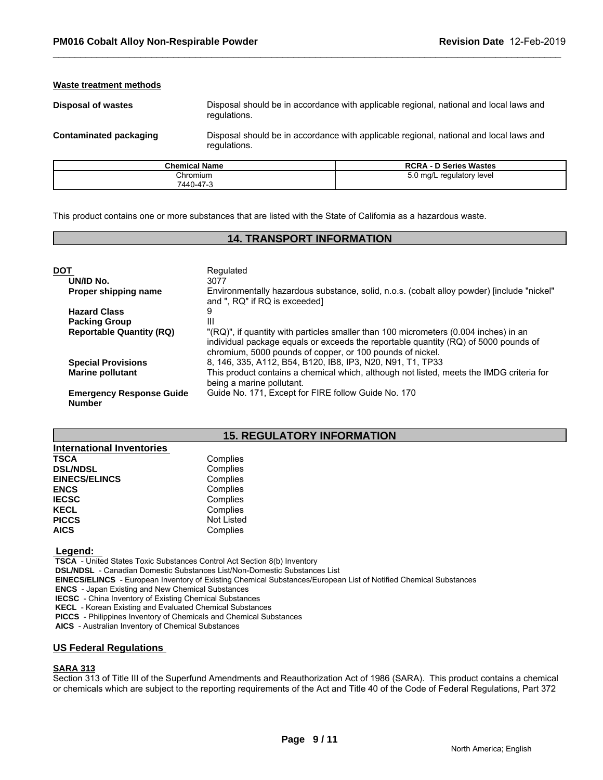#### **Waste treatment methods**

**Disposal of wastes** Disposal should be in accordance with applicable regional, national and local laws and regulations.

**Contaminated packaging** Disposal should be in accordance with applicable regional, national and local laws and regulations.

| <b>Chemical Name</b> | <b>RCRA - D Series Wastes</b> |
|----------------------|-------------------------------|
| Chromium             | 5.0 mg/L regulatory level     |
| 7440-47-3            |                               |

This product contains one or more substances that are listed with the State of California as a hazardous waste.

# **14. TRANSPORT INFORMATION**

| <b>DOT</b>                                       | Regulated                                                                                                                                                                                                                                |
|--------------------------------------------------|------------------------------------------------------------------------------------------------------------------------------------------------------------------------------------------------------------------------------------------|
| UN/ID No.                                        | 3077                                                                                                                                                                                                                                     |
| Proper shipping name                             | Environmentally hazardous substance, solid, n.o.s. (cobalt alloy powder) [include "nickel"<br>and ", RQ" if RQ is exceeded]                                                                                                              |
| <b>Hazard Class</b>                              | 9                                                                                                                                                                                                                                        |
| <b>Packing Group</b>                             | Ш                                                                                                                                                                                                                                        |
| <b>Reportable Quantity (RQ)</b>                  | "(RQ)", if quantity with particles smaller than 100 micrometers (0.004 inches) in an<br>individual package equals or exceeds the reportable quantity (RQ) of 5000 pounds of<br>chromium, 5000 pounds of copper, or 100 pounds of nickel. |
| <b>Special Provisions</b>                        | 8, 146, 335, A112, B54, B120, IB8, IP3, N20, N91, T1, TP33                                                                                                                                                                               |
| <b>Marine pollutant</b>                          | This product contains a chemical which, although not listed, meets the IMDG criteria for<br>being a marine pollutant.                                                                                                                    |
| <b>Emergency Response Guide</b><br><b>Number</b> | Guide No. 171, Except for FIRE follow Guide No. 170                                                                                                                                                                                      |

# **15. REGULATORY INFORMATION**

| <b>International Inventories</b> |                   |
|----------------------------------|-------------------|
| <b>TSCA</b>                      | Complies          |
| <b>DSL/NDSL</b>                  | Complies          |
| <b>EINECS/ELINCS</b>             | Complies          |
| <b>ENCS</b>                      | Complies          |
| <b>IECSC</b>                     | Complies          |
| <b>KECL</b>                      | Complies          |
| <b>PICCS</b>                     | <b>Not Listed</b> |
| <b>AICS</b>                      | Complies          |

 **Legend:** 

 **TSCA** - United States Toxic Substances Control Act Section 8(b) Inventory

 **DSL/NDSL** - Canadian Domestic Substances List/Non-Domestic Substances List

 **EINECS/ELINCS** - European Inventory of Existing Chemical Substances/European List of Notified Chemical Substances

 **ENCS** - Japan Existing and New Chemical Substances

 **IECSC** - China Inventory of Existing Chemical Substances

 **KECL** - Korean Existing and Evaluated Chemical Substances

 **PICCS** - Philippines Inventory of Chemicals and Chemical Substances

 **AICS** - Australian Inventory of Chemical Substances

#### **US Federal Regulations**

#### **SARA 313**

Section 313 of Title III of the Superfund Amendments and Reauthorization Act of 1986 (SARA). This product contains a chemical or chemicals which are subject to the reporting requirements of the Act and Title 40 of the Code of Federal Regulations, Part 372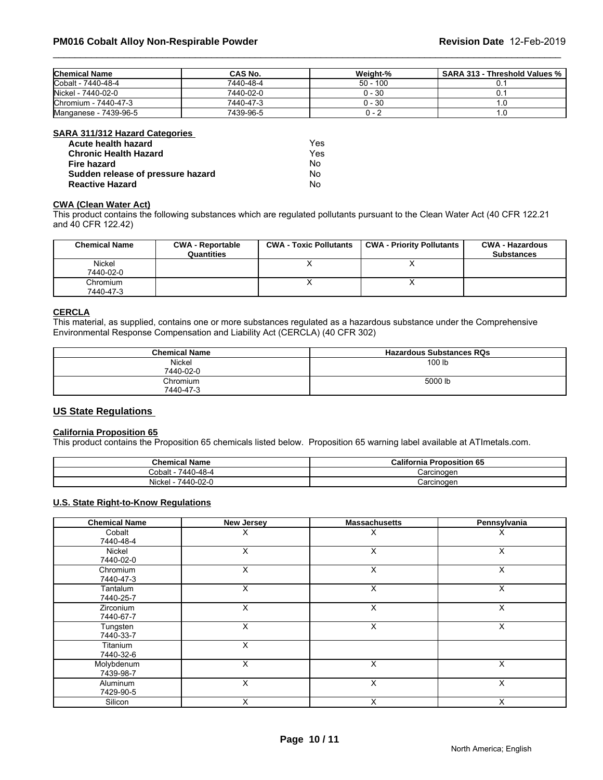| <b>Chemical Name</b>  | CAS No.   | Weight-%   | SARA 313 - Threshold Values % |
|-----------------------|-----------|------------|-------------------------------|
| Cobalt - 7440-48-4    | 7440-48-4 | $50 - 100$ |                               |
| Nickel - 7440-02-0    | 7440-02-0 | 0 - 30     |                               |
| Chromium - 7440-47-3  | 7440-47-3 | 0 - 30     |                               |
| Manganese - 7439-96-5 | 7439-96-5 | ∵ – ل      | .u                            |

#### **SARA 311/312 Hazard Categories**

| Acute health hazard               | Yes |  |
|-----------------------------------|-----|--|
| <b>Chronic Health Hazard</b>      | Yes |  |
| Fire hazard                       | Nο  |  |
| Sudden release of pressure hazard | Nο  |  |
| <b>Reactive Hazard</b>            | No  |  |

#### **CWA (Clean Water Act)**

| Acute health hazard               |                                       | Yes.                          |                                                                                                                              |                                             |
|-----------------------------------|---------------------------------------|-------------------------------|------------------------------------------------------------------------------------------------------------------------------|---------------------------------------------|
| <b>Chronic Health Hazard</b>      |                                       | Yes                           |                                                                                                                              |                                             |
| <b>Fire hazard</b>                |                                       | No.                           |                                                                                                                              |                                             |
| Sudden release of pressure hazard |                                       | No                            |                                                                                                                              |                                             |
| <b>Reactive Hazard</b>            |                                       | No.                           |                                                                                                                              |                                             |
| <b>CWA (Clean Water Act)</b>      |                                       |                               | This product contains the following substances which are regulated pollutants pursuant to the Clean Water Act (40 CFR 122.21 |                                             |
| and 40 CFR 122.42)                |                                       |                               |                                                                                                                              |                                             |
| <b>Chemical Name</b>              | <b>CWA - Reportable</b><br>Quantities | <b>CWA - Toxic Pollutants</b> | <b>CWA - Priority Pollutants</b>                                                                                             | <b>CWA - Hazardous</b><br><b>Substances</b> |
| Nickel                            |                                       | X                             | X                                                                                                                            |                                             |
| 7440-02-0                         |                                       |                               |                                                                                                                              |                                             |
| Chromium<br>7440-47-3             |                                       | x                             | X                                                                                                                            |                                             |

#### **CERCLA**

This material, as supplied, contains one or more substances regulated as a hazardous substance under the Comprehensive Environmental Response Compensation and Liability Act (CERCLA) (40 CFR 302)

| <b>Chemical Name</b>  | <b>Hazardous Substances RQs</b> |
|-----------------------|---------------------------------|
| Nickel<br>7440-02-0   | 100 lb                          |
| Chromium<br>7440-47-3 | 5000 lb                         |

# **US State Regulations**

# **California Proposition 65**

This product contains the Proposition 65 chemicals listed below. Proposition 65 warning label available at ATImetals.com.

| <b>Chemical Name</b>                 | California<br><b>Proposition 65</b> |
|--------------------------------------|-------------------------------------|
| 7440-48-4<br>Cobalt                  | Carcinogen                          |
| .<br>7440-02-0<br>$ \cdot$<br>Nicke' | Carcinoger                          |

## **U.S. State Right-to-Know Regulations**

| <b>Chemical Name</b>    | <b>New Jersey</b> | <b>Massachusetts</b> | Pennsylvania |
|-------------------------|-------------------|----------------------|--------------|
| Cobalt<br>7440-48-4     |                   | х                    | х            |
| Nickel<br>7440-02-0     | X                 | X                    | X            |
| Chromium<br>7440-47-3   | X                 | X                    | X            |
| Tantalum<br>7440-25-7   | X                 | X                    | $\times$     |
| Zirconium<br>7440-67-7  | Χ                 | X                    | X            |
| Tungsten<br>7440-33-7   | X                 | X                    | X            |
| Titanium<br>7440-32-6   | X                 |                      |              |
| Molybdenum<br>7439-98-7 | X                 | X                    | X            |
| Aluminum<br>7429-90-5   | $\times$          | X                    | X            |
| Silicon                 | X                 | X                    | X            |